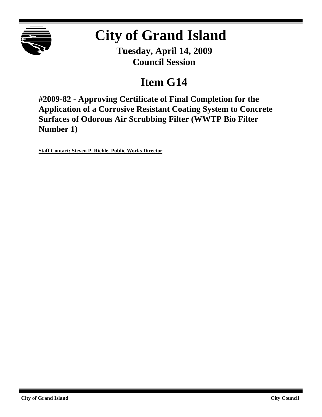

# **City of Grand Island**

**Tuesday, April 14, 2009 Council Session**

## **Item G14**

**#2009-82 - Approving Certificate of Final Completion for the Application of a Corrosive Resistant Coating System to Concrete Surfaces of Odorous Air Scrubbing Filter (WWTP Bio Filter Number 1)**

**Staff Contact: Steven P. Riehle, Public Works Director**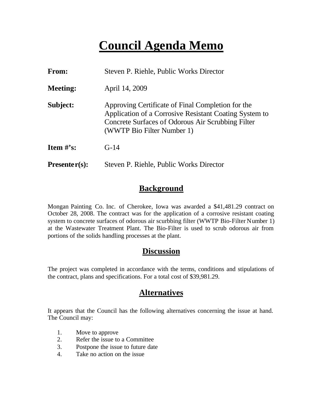## **Council Agenda Memo**

| From:                          | Steven P. Riehle, Public Works Director                                                                                                                                                        |  |  |  |  |
|--------------------------------|------------------------------------------------------------------------------------------------------------------------------------------------------------------------------------------------|--|--|--|--|
| <b>Meeting:</b>                | April 14, 2009                                                                                                                                                                                 |  |  |  |  |
| Subject:                       | Approving Certificate of Final Completion for the<br>Application of a Corrosive Resistant Coating System to<br>Concrete Surfaces of Odorous Air Scrubbing Filter<br>(WWTP Bio Filter Number 1) |  |  |  |  |
| <b>Item <math>\#</math>'s:</b> | $G-14$                                                                                                                                                                                         |  |  |  |  |
| $Presenter(s):$                | Steven P. Riehle, Public Works Director                                                                                                                                                        |  |  |  |  |

## **Background**

Mongan Painting Co. Inc. of Cherokee, Iowa was awarded a \$41,481.29 contract on October 28, 2008. The contract was for the application of a corrosive resistant coating system to concrete surfaces of odorous air scurbbing filter (WWTP Bio-Filter Number 1) at the Wastewater Treatment Plant. The Bio-Filter is used to scrub odorous air from portions of the solids handling processes at the plant.

## **Discussion**

The project was completed in accordance with the terms, conditions and stipulations of the contract, plans and specifications. For a total cost of \$39,981.29.

## **Alternatives**

It appears that the Council has the following alternatives concerning the issue at hand. The Council may:

- 1. Move to approve
- 2. Refer the issue to a Committee
- 3. Postpone the issue to future date
- 4. Take no action on the issue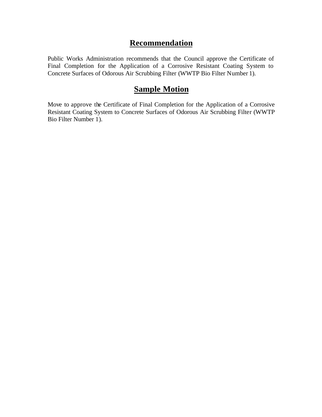## **Recommendation**

Public Works Administration recommends that the Council approve the Certificate of Final Completion for the Application of a Corrosive Resistant Coating System to Concrete Surfaces of Odorous Air Scrubbing Filter (WWTP Bio Filter Number 1).

## **Sample Motion**

Move to approve the Certificate of Final Completion for the Application of a Corrosive Resistant Coating System to Concrete Surfaces of Odorous Air Scrubbing Filter (WWTP Bio Filter Number 1).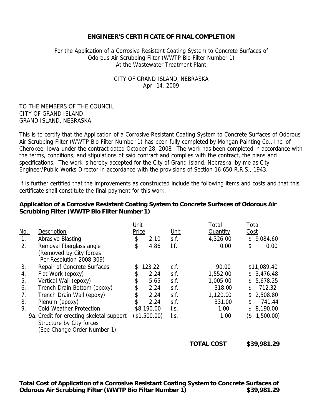#### **ENGINEER'S CERTIFICATE OF FINAL COMPLETION**

#### For the Application of a Corrosive Resistant Coating System to Concrete Surfaces of Odorous Air Scrubbing Filter (WWTP Bio Filter Number 1) At the Wastewater Treatment Plant

#### CITY OF GRAND ISLAND, NEBRASKA April 14, 2009

#### TO THE MEMBERS OF THE COUNCIL CITY OF GRAND ISLAND GRAND ISLAND, NEBRASKA

This is to certify that the Application of a Corrosive Resistant Coating System to Concrete Surfaces of Odorous Air Scrubbing Filter (WWTP Bio Filter Number 1) has been fully completed by Mongan Painting Co., Inc. of Cherokee, Iowa under the contract dated October 28, 2008. The work has been completed in accordance with the terms, conditions, and stipulations of said contract and complies with the contract, the plans and specifications. The work is hereby accepted for the City of Grand Island, Nebraska, by me as City Engineer/Public Works Director in accordance with the provisions of Section 16-650 R.R.S., 1943.

If is further certified that the improvements as constructed include the following items and costs and that this certificate shall constitute the final payment for this work.

#### **Application of a Corrosive Resistant Coating System to Concrete Surfaces of Odorous Air Scrubbing Filter (WWTP Bio Filter Number 1)**

|                                |                                                                                                                                            | Unit         |                       | Total                        | Total                                |             |
|--------------------------------|--------------------------------------------------------------------------------------------------------------------------------------------|--------------|-----------------------|------------------------------|--------------------------------------|-------------|
| <u>No.</u>                     |                                                                                                                                            |              |                       |                              | Cost                                 |             |
| Abrasive Blasting<br>1.        |                                                                                                                                            | 2.10         | s.f.                  | 4,326.00                     | \$                                   | 9,084.60    |
| 2.                             |                                                                                                                                            | 4.86         | I.f.                  | 0.00                         | \$                                   | 0.00        |
|                                |                                                                                                                                            |              |                       |                              |                                      |             |
| Per Resolution 2008-309)       |                                                                                                                                            |              |                       |                              |                                      |             |
| Repair of Concrete Surfaces    |                                                                                                                                            | 123.22<br>\$ |                       | 90.00                        |                                      | \$11,089.40 |
| Flat Work (epoxy)              | \$                                                                                                                                         | 2.24         | s.f.                  | 1,552.00                     |                                      | \$3,476.48  |
| Vertical Wall (epoxy)          | \$                                                                                                                                         | 5.65         | s.f.                  | 1,005.00                     | \$                                   | 5,678.25    |
| Trench Drain Bottom (epoxy)    | \$                                                                                                                                         | 2.24         | s.f.                  | 318.00                       | \$                                   | 712.32      |
| Trench Drain Wall (epoxy)      | \$                                                                                                                                         | 2.24         | s.f.                  | 1,120.00                     | \$                                   | 2,508.80    |
| Plenum (epoxy)                 | \$                                                                                                                                         | 2.24         | S.f.                  | 331.00                       | \$                                   | 741.44      |
| <b>Cold Weather Protection</b> |                                                                                                                                            | \$8,190.00   |                       | 1.00                         | \$                                   | 8,190.00    |
|                                |                                                                                                                                            |              |                       | 1.00                         | (\$                                  | 1,500.00)   |
|                                |                                                                                                                                            |              |                       |                              |                                      |             |
| (See Change Order Number 1)    |                                                                                                                                            |              |                       |                              |                                      |             |
|                                |                                                                                                                                            |              |                       |                              |                                      | \$39,981.29 |
|                                | Description<br>Removal fiberglass angle<br>(Removed by City forces<br>9a. Credit for erecting skeletal support<br>Structure by City forces | \$<br>\$     | Price<br>(\$1,500.00) | Unit<br>c.f.<br>I.s.<br>l.s. | <b>Quantity</b><br><b>TOTAL COST</b> |             |

**Total Cost of Application of a Corrosive Resistant Coating System to Concrete Surfaces of Odorous Air Scrubbing Filter (WWTP Bio Filter Number 1) \$39,981.29**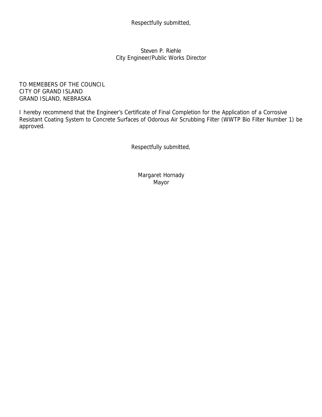Respectfully submitted,

Steven P. Riehle City Engineer/Public Works Director

TO MEMEBERS OF THE COUNCIL CITY OF GRAND ISLAND GRAND ISLAND, NEBRASKA

I hereby recommend that the Engineer's Certificate of Final Completion for the Application of a Corrosive Resistant Coating System to Concrete Surfaces of Odorous Air Scrubbing Filter (WWTP Bio Filter Number 1) be approved.

Respectfully submitted,

Margaret Hornady Mayor